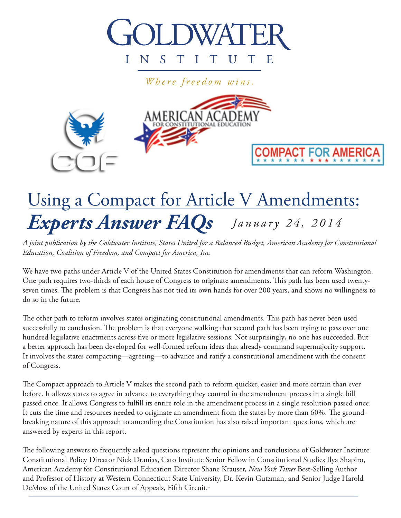

Where freedom wins.



# *January 24, 2014 Experts Answer FAQs* Using a Compact for Article V Amendments:

*A joint publication by the Goldwater Institute, States United for a Balanced Budget, American Academy for Constitutional Education, Coalition of Freedom, and Compact for America, Inc.*

We have two paths under Article V of the United States Constitution for amendments that can reform Washington. One path requires two-thirds of each house of Congress to originate amendments. This path has been used twentyseven times. The problem is that Congress has not tied its own hands for over 200 years, and shows no willingness to do so in the future.

The other path to reform involves states originating constitutional amendments. This path has never been used successfully to conclusion. The problem is that everyone walking that second path has been trying to pass over one hundred legislative enactments across five or more legislative sessions. Not surprisingly, no one has succeeded. But a better approach has been developed for well-formed reform ideas that already command supermajority support. It involves the states compacting—agreeing—to advance and ratify a constitutional amendment with the consent of Congress.

The Compact approach to Article V makes the second path to reform quicker, easier and more certain than ever before. It allows states to agree in advance to everything they control in the amendment process in a single bill passed once. It allows Congress to fulfill its entire role in the amendment process in a single resolution passed once. It cuts the time and resources needed to originate an amendment from the states by more than 60%. The groundbreaking nature of this approach to amending the Constitution has also raised important questions, which are answered by experts in this report.

The following answers to frequently asked questions represent the opinions and conclusions of Goldwater Institute Constitutional Policy Director Nick Dranias, Cato Institute Senior Fellow in Constitutional Studies Ilya Shapiro, American Academy for Constitutional Education Director Shane Krauser, *New York Times* Best-Selling Author and Professor of History at Western Connecticut State University, Dr. Kevin Gutzman, and Senior Judge Harold DeMoss of the United States Court of Appeals, Fifth Circuit.<sup>1</sup>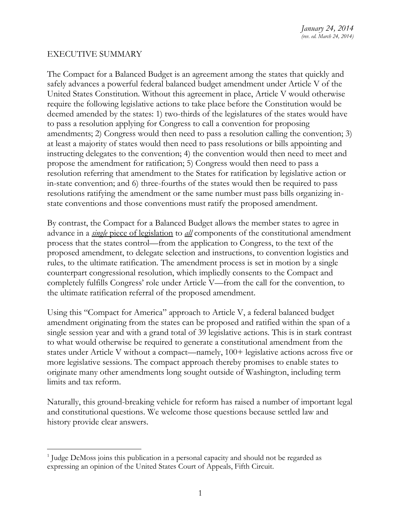# EXECUTIVE SUMMARY

The Compact for a Balanced Budget is an agreement among the states that quickly and safely advances a powerful federal balanced budget amendment under Article V of the United States Constitution. Without this agreement in place, Article V would otherwise require the following legislative actions to take place before the Constitution would be deemed amended by the states: 1) two-thirds of the legislatures of the states would have to pass a resolution applying for Congress to call a convention for proposing amendments; 2) Congress would then need to pass a resolution calling the convention; 3) at least a majority of states would then need to pass resolutions or bills appointing and instructing delegates to the convention; 4) the convention would then need to meet and propose the amendment for ratification; 5) Congress would then need to pass a resolution referring that amendment to the States for ratification by legislative action or in-state convention; and 6) three-fourths of the states would then be required to pass resolutions ratifying the amendment or the same number must pass bills organizing instate conventions and those conventions must ratify the proposed amendment.

By contrast, the Compact for a Balanced Budget allows the member states to agree in advance in a *single* piece of legislation to *all* components of the constitutional amendment process that the states control—from the application to Congress, to the text of the proposed amendment, to delegate selection and instructions, to convention logistics and rules, to the ultimate ratification. The amendment process is set in motion by a single counterpart congressional resolution, which impliedly consents to the Compact and completely fulfills Congress' role under Article V—from the call for the convention, to the ultimate ratification referral of the proposed amendment.

Using this "Compact for America" approach to Article V, a federal balanced budget amendment originating from the states can be proposed and ratified within the span of a single session year and with a grand total of 39 legislative actions. This is in stark contrast to what would otherwise be required to generate a constitutional amendment from the states under Article V without a compact—namely, 100+ legislative actions across five or more legislative sessions. The compact approach thereby promises to enable states to originate many other amendments long sought outside of Washington, including term limits and tax reform.

Naturally, this ground-breaking vehicle for reform has raised a number of important legal and constitutional questions. We welcome those questions because settled law and history provide clear answers.

<sup>&</sup>lt;sup>1</sup> Judge DeMoss joins this publication in a personal capacity and should not be regarded as expressing an opinion of the United States Court of Appeals, Fifth Circuit.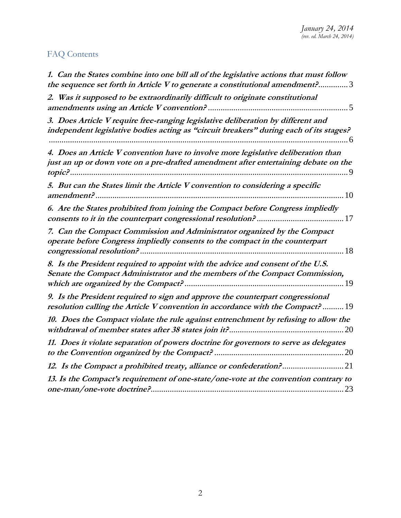# FAQ Contents

| 1. Can the States combine into one bill all of the legislative actions that must follow<br>the sequence set forth in Article V to generate a constitutional amendment?3    |    |
|----------------------------------------------------------------------------------------------------------------------------------------------------------------------------|----|
| 2. Was it supposed to be extraordinarily difficult to originate constitutional                                                                                             |    |
| 3. Does Article V require free-ranging legislative deliberation by different and<br>independent legislative bodies acting as "circuit breakers" during each of its stages? |    |
| 4. Does an Article V convention have to involve more legislative deliberation than<br>just an up or down vote on a pre-drafted amendment after entertaining debate on the  |    |
| 5. But can the States limit the Article V convention to considering a specific                                                                                             | 10 |
| 6. Are the States prohibited from joining the Compact before Congress impliedly                                                                                            |    |
| 7. Can the Compact Commission and Administrator organized by the Compact<br>operate before Congress impliedly consents to the compact in the counterpart                   |    |
| 8. Is the President required to appoint with the advice and consent of the U.S.<br>Senate the Compact Administrator and the members of the Compact Commission,             |    |
| 9. Is the President required to sign and approve the counterpart congressional<br>resolution calling the Article V convention in accordance with the Compact? 19           |    |
| 10. Does the Compact violate the rule against entrenchment by refusing to allow the                                                                                        |    |
| 11. Does it violate separation of powers doctrine for governors to serve as delegates                                                                                      |    |
| 12. Is the Compact a prohibited treaty, alliance or confederation?21                                                                                                       |    |
| 13. Is the Compact's requirement of one-state/one-vote at the convention contrary to                                                                                       |    |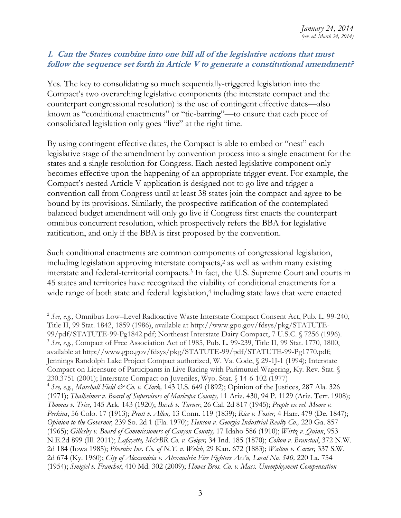#### <span id="page-3-0"></span>**1. Can the States combine into one bill all of the legislative actions that must follow the sequence set forth in Article V to generate a constitutional amendment?**

Yes. The key to consolidating so much sequentially-triggered legislation into the Compact's two overarching legislative components (the interstate compact and the counterpart congressional resolution) is the use of contingent effective dates—also known as "conditional enactments" or "tie-barring"—to ensure that each piece of consolidated legislation only goes "live" at the right time.

By using contingent effective dates, the Compact is able to embed or "nest" each legislative stage of the amendment by convention process into a single enactment for the states and a single resolution for Congress. Each nested legislative component only becomes effective upon the happening of an appropriate trigger event. For example, the Compact's nested Article V application is designed not to go live and trigger a convention call from Congress until at least 38 states join the compact and agree to be bound by its provisions. Similarly, the prospective ratification of the contemplated balanced budget amendment will only go live if Congress first enacts the counterpart omnibus concurrent resolution, which prospectively refers the BBA for legislative ratification, and only if the BBA is first proposed by the convention.

Such conditional enactments are common components of congressional legislation, including legislation approving interstate compacts,<sup>2</sup> as well as within many existing interstate and federal-territorial compacts.<sup>3</sup> In fact, the U.S. Supreme Court and courts in 45 states and territories have recognized the viability of conditional enactments for a wide range of both state and federal legislation, <sup>4</sup> including state laws that were enacted

<sup>2</sup> *See, e.g.,* Omnibus Low–Level Radioactive Waste Interstate Compact Consent Act, Pub. L. 99-240, Title II, 99 Stat. 1842, 1859 (1986), available at http://www.gpo.gov/fdsys/pkg/STATUTE-99/pdf/STATUTE-99-Pg1842.pdf; Northeast Interstate Dairy Compact, 7 U.S.C. § 7256 (1996). 3 *See, e.g.*, Compact of Free Association Act of 1985, Pub. L. 99-239, Title II, 99 Stat. 1770, 1800, available at http://www.gpo.gov/fdsys/pkg/STATUTE-99/pdf/STATUTE-99-Pg1770.pdf; Jennings Randolph Lake Project Compact authorized, W. Va. Code, § 29-1J-1 (1994); Interstate Compact on Licensure of Participants in Live Racing with Parimutuel Wagering, Ky. Rev. Stat. § 230.3751 (2001); Interstate Compact on Juveniles, Wyo. Stat. § 14-6-102 (1977)

<sup>4</sup> *See, e.g.*, *Marshall Field & Co. v. Clark,* 143 U.S. 649 (1892); Opinion of the Justices, 287 Ala. 326 (1971); *Thalheimer v. Board of Supervisors of Maricopa County,* 11 Ariz. 430, 94 P. 1129 (Ariz. Terr. 1908); *Thomas v. Trice,* 145 Ark. 143 (1920); *Busch v. Turner*, 26 Cal. 2d 817 (1945); *People ex rel. Moore v. Perkins*, 56 Colo. 17 (1913); *Pratt v. Allen,* 13 Conn. 119 (1839); *Rice v. Foster,* 4 Harr. 479 (De. 1847); *Opinion to the Governor,* 239 So. 2d 1 (Fla. 1970); *Henson v. Georgia Industrial Realty Co.,* 220 Ga. 857 (1965); *Gillesby v. Board of Commissioners of Canyon County,* 17 Idaho 586 (1910); *Wirtz v. Quinn*, 953 N.E.2d 899 (Ill. 2011); *Lafayette, M&BR Co. v. Geiger,* 34 Ind. 185 (1870); *Colton v. Branstad*, 372 N.W. 2d 184 (Iowa 1985); *Phoenix Ins. Co. of N.Y. v. Welch*, 29 Kan. 672 (1883); *Walton v. Carter,* 337 S.W. 2d 674 (Ky. 1960); *City of Alexandria v. Alexandria Fire Fighters Ass'n, Local No. 540,* 220 La. 754 (1954); *Smigiel v. Franchot*, 410 Md. 302 (2009); *Howes Bros. Co. v. Mass. Unemployment Compensation*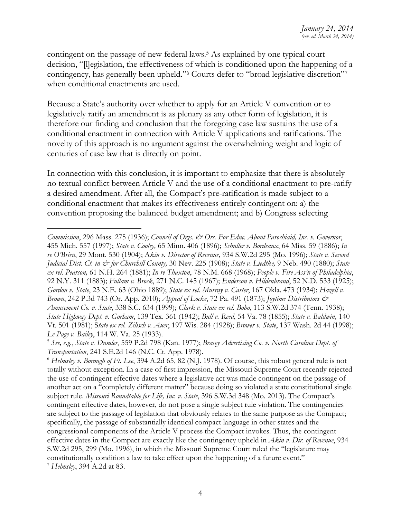contingent on the passage of new federal laws. <sup>5</sup> As explained by one typical court decision, "[l]egislation, the effectiveness of which is conditioned upon the happening of a contingency, has generally been upheld."<sup>6</sup> Courts defer to "broad legislative discretion"<sup>7</sup> when conditional enactments are used.

Because a State's authority over whether to apply for an Article V convention or to legislatively ratify an amendment is as plenary as any other form of legislation, it is therefore our finding and conclusion that the foregoing case law sustains the use of a conditional enactment in connection with Article V applications and ratifications. The novelty of this approach is no argument against the overwhelming weight and logic of centuries of case law that is directly on point.

In connection with this conclusion, it is important to emphasize that there is absolutely no textual conflict between Article V and the use of a conditional enactment to pre-ratify a desired amendment. After all, the Compact's pre-ratification is made subject to a conditional enactment that makes its effectiveness entirely contingent on: a) the convention proposing the balanced budget amendment; and b) Congress selecting

*Commission*, 296 Mass. 275 (1936); *Council of Orgs. & Ors. For Educ. About Parochiaid, Inc. v. Governor*, 455 Mich. 557 (1997); *State v. Cooley,* 65 Minn. 406 (1896); *Schuller v. Bordeaux*, 64 Miss. 59 (1886); *In re O'Brien*, 29 Mont. 530 (1904); A*kin v. Director of Revenue,* 934 S.W.2d 295 (Mo. 1996); *State v. Second Judicial Dist. Ct. in & for Churchill County,* 30 Nev. 225 (1908); *State v. Liedtke,* 9 Neb. 490 (1880); *State ex rel. Pearson,* 61 N.H. 264 (1881); *In re Thaxton*, 78 N.M. 668 (1968); *People v. Fire Ass'n of Philadelphia*, 92 N.Y. 311 (1883); *Fullam v. Brock*, 271 N.C. 145 (1967); *Enderson v. Hildenbrand*, 52 N.D. 533 (1925); *Gordon v. State*, 23 N.E. 63 (Ohio 1889); *State ex rel. Murray v. Carter*, 167 Okla. 473 (1934); *Hazell v. Brown*, 242 P.3d 743 (Or. App. 2010); *Appeal of Locke*, 72 Pa. 491 (1873); *Joytime Distributors & Amusement Co. v. State*, 338 S.C. 634 (1999); *Clark v. State ex rel. Bobo*, 113 S.W.2d 374 (Tenn. 1938); *State Highway Dept. v. Gorham*, 139 Tex. 361 (1942); *Bull v. Reed*, 54 Va. 78 (1855); *State v. Baldwin,* 140 Vt. 501 (1981); S*tate ex rel. Zilisch v. Auer*, 197 Wis. 284 (1928); *Brower v. State*, 137 Wash. 2d 44 (1998); *Le Page v. Bailey*, 114 W. Va. 25 (1933).

<sup>5</sup> *See, e.g*., *State v. Dumler*, 559 P.2d 798 (Kan. 1977); *Bracey Advertising Co. v. North Carolina Dept. of Transportation*, 241 S.E.2d 146 (N.C. Ct. App. 1978).

<sup>6</sup> *Helmsley v. Borough of Ft. Lee*, 394 A.2d 65, 82 (N.J. 1978). Of course, this robust general rule is not totally without exception. In a case of first impression, the Missouri Supreme Court recently rejected the use of contingent effective dates where a legislative act was made contingent on the passage of another act on a "completely different matter" because doing so violated a state constitutional single subject rule. *Missouri Roundtable for Life, Inc. v. State*, 396 S.W.3d 348 (Mo. 2013). The Compact's contingent effective dates, however, do not pose a single subject rule violation. The contingencies are subject to the passage of legislation that obviously relates to the same purpose as the Compact; specifically, the passage of substantially identical compact language in other states and the congressional components of the Article V process the Compact invokes. Thus, the contingent effective dates in the Compact are exactly like the contingency upheld in *Akin v. Dir. of Revenue*, 934 S.W.2d 295, 299 (Mo. 1996), in which the Missouri Supreme Court ruled the "legislature may constitutionally condition a law to take effect upon the happening of a future event." <sup>7</sup> *Helmsley*, 394 A.2d at 83.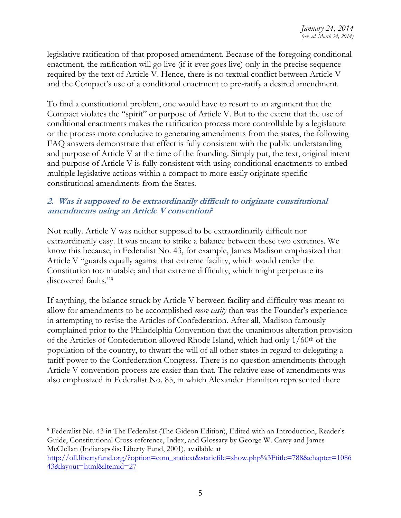legislative ratification of that proposed amendment. Because of the foregoing conditional enactment, the ratification will go live (if it ever goes live) only in the precise sequence required by the text of Article V. Hence, there is no textual conflict between Article V and the Compact's use of a conditional enactment to pre-ratify a desired amendment.

To find a constitutional problem, one would have to resort to an argument that the Compact violates the "spirit" or purpose of Article V. But to the extent that the use of conditional enactments makes the ratification process more controllable by a legislature or the process more conducive to generating amendments from the states, the following FAQ answers demonstrate that effect is fully consistent with the public understanding and purpose of Article V at the time of the founding. Simply put, the text, original intent and purpose of Article V is fully consistent with using conditional enactments to embed multiple legislative actions within a compact to more easily originate specific constitutional amendments from the States.

# <span id="page-5-0"></span>**2. Was it supposed to be extraordinarily difficult to originate constitutional amendments using an Article V convention?**

Not really. Article V was neither supposed to be extraordinarily difficult nor extraordinarily easy. It was meant to strike a balance between these two extremes. We know this because, in Federalist No. 43, for example, James Madison emphasized that Article V "guards equally against that extreme facility, which would render the Constitution too mutable; and that extreme difficulty, which might perpetuate its discovered faults."<sup>8</sup>

If anything, the balance struck by Article V between facility and difficulty was meant to allow for amendments to be accomplished *more easily* than was the Founder's experience in attempting to revise the Articles of Confederation. After all, Madison famously complained prior to the Philadelphia Convention that the unanimous alteration provision of the Articles of Confederation allowed Rhode Island, which had only 1/60<sup>th</sup> of the population of the country, to thwart the will of all other states in regard to delegating a tariff power to the Confederation Congress. There is no question amendments through Article V convention process are easier than that. The relative ease of amendments was also emphasized in Federalist No. 85, in which Alexander Hamilton represented there

<sup>8</sup> Federalist No. 43 in The Federalist (The Gideon Edition), Edited with an Introduction, Reader's Guide, Constitutional Cross-reference, Index, and Glossary by George W. Carey and James McClellan (Indianapolis: Liberty Fund, 2001), available at

[http://oll.libertyfund.org/?option=com\\_staticxt&staticfile=show.php%3Ftitle=788&chapter=1086](http://oll.libertyfund.org/?option=com_staticxt&staticfile=show.php%3Ftitle=788&chapter=108643&layout=html&Itemid=27) [43&layout=html&Itemid=27](http://oll.libertyfund.org/?option=com_staticxt&staticfile=show.php%3Ftitle=788&chapter=108643&layout=html&Itemid=27)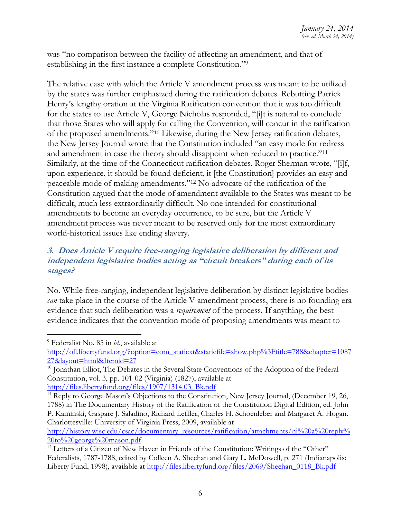was "no comparison between the facility of affecting an amendment, and that of establishing in the first instance a complete Constitution."<sup>9</sup>

The relative ease with which the Article V amendment process was meant to be utilized by the states was further emphasized during the ratification debates. Rebutting Patrick Henry's lengthy oration at the Virginia Ratification convention that it was too difficult for the states to use Article V, George Nicholas responded, "[i]t is natural to conclude that those States who will apply for calling the Convention, will concur in the ratification of the proposed amendments."<sup>10</sup> Likewise, during the New Jersey ratification debates, the New Jersey Journal wrote that the Constitution included "an easy mode for redress and amendment in case the theory should disappoint when reduced to practice."<sup>11</sup> Similarly, at the time of the Connecticut ratification debates, Roger Sherman wrote, "[i]f, upon experience, it should be found deficient, it [the Constitution] provides an easy and peaceable mode of making amendments."<sup>12</sup> No advocate of the ratification of the Constitution argued that the mode of amendment available to the States was meant to be difficult, much less extraordinarily difficult. No one intended for constitutional amendments to become an everyday occurrence, to be sure, but the Article V amendment process was never meant to be reserved only for the most extraordinary world-historical issues like ending slavery.

# <span id="page-6-0"></span>**3. Does Article V require free-ranging legislative deliberation by different and independent legislative bodies acting as "circuit breakers" during each of its stages?**

No. While free-ranging, independent legislative deliberation by distinct legislative bodies *can* take place in the course of the Article V amendment process, there is no founding era evidence that such deliberation was a *requirement* of the process. If anything, the best evidence indicates that the convention mode of proposing amendments was meant to

<sup>9</sup> Federalist No. 85 in *id.*, available at

[http://oll.libertyfund.org/?option=com\\_staticxt&staticfile=show.php%3Ftitle=788&chapter=1087](http://oll.libertyfund.org/?option=com_staticxt&staticfile=show.php%3Ftitle=788&chapter=108727&layout=html&Itemid=27) [27&layout=html&Itemid=27](http://oll.libertyfund.org/?option=com_staticxt&staticfile=show.php%3Ftitle=788&chapter=108727&layout=html&Itemid=27)

<sup>&</sup>lt;sup>10</sup> Jonathan Elliot, The Debates in the Several State Conventions of the Adoption of the Federal Constitution, vol. 3, pp. 101-02 (Virginia) (1827), available at [http://files.libertyfund.org/files/1907/1314.03\\_Bk.pdf](http://files.libertyfund.org/files/1907/1314.03_Bk.pdf)

<sup>&</sup>lt;sup>11</sup> Reply to George Mason's Objections to the Constitution, New Jersey Journal, (December 19, 26, 1788) in The Documentary History of the Ratification of the Constitution Digital Edition, ed. John P. Kaminski, Gaspare J. Saladino, Richard Leffler, Charles H. Schoenleber and Margaret A. Hogan. Charlottesville: University of Virginia Press, 2009, available at

[http://history.wisc.edu/csac/documentary\\_resources/ratification/attachments/nj%20a%20reply%](http://history.wisc.edu/csac/documentary_resources/ratification/attachments/nj%20a%20reply%20to%20george%20mason.pdf) [20to%20george%20mason.pdf](http://history.wisc.edu/csac/documentary_resources/ratification/attachments/nj%20a%20reply%20to%20george%20mason.pdf)

<sup>&</sup>lt;sup>12</sup> Letters of a Citizen of New Haven in Friends of the Constitution: Writings of the "Other" Federalists, 1787-1788, edited by Colleen A. Sheehan and Gary L. McDowell, p. 271 (Indianapolis: Liberty Fund, 1998), available at [http://files.libertyfund.org/files/2069/Sheehan\\_0118\\_Bk.pdf](http://files.libertyfund.org/files/2069/Sheehan_0118_Bk.pdf)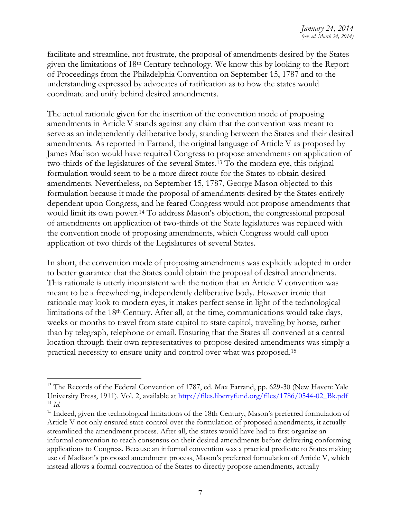facilitate and streamline, not frustrate, the proposal of amendments desired by the States given the limitations of 18th Century technology. We know this by looking to the Report of Proceedings from the Philadelphia Convention on September 15, 1787 and to the understanding expressed by advocates of ratification as to how the states would coordinate and unify behind desired amendments.

The actual rationale given for the insertion of the convention mode of proposing amendments in Article V stands against any claim that the convention was meant to serve as an independently deliberative body, standing between the States and their desired amendments. As reported in Farrand, the original language of Article V as proposed by James Madison would have required Congress to propose amendments on application of two-thirds of the legislatures of the several States.<sup>13</sup> To the modern eye, this original formulation would seem to be a more direct route for the States to obtain desired amendments. Nevertheless, on September 15, 1787, George Mason objected to this formulation because it made the proposal of amendments desired by the States entirely dependent upon Congress, and he feared Congress would not propose amendments that would limit its own power.<sup>14</sup> To address Mason's objection, the congressional proposal of amendments on application of two-thirds of the State legislatures was replaced with the convention mode of proposing amendments, which Congress would call upon application of two thirds of the Legislatures of several States.

In short, the convention mode of proposing amendments was explicitly adopted in order to better guarantee that the States could obtain the proposal of desired amendments. This rationale is utterly inconsistent with the notion that an Article V convention was meant to be a freewheeling, independently deliberative body. However ironic that rationale may look to modern eyes, it makes perfect sense in light of the technological limitations of the 18th Century. After all, at the time, communications would take days, weeks or months to travel from state capitol to state capitol, traveling by horse, rather than by telegraph, telephone or email. Ensuring that the States all convened at a central location through their own representatives to propose desired amendments was simply a practical necessity to ensure unity and control over what was proposed.<sup>15</sup>

<sup>&</sup>lt;sup>13</sup> The Records of the Federal Convention of 1787, ed. Max Farrand, pp. 629-30 (New Haven: Yale University Press, 1911). Vol. 2, available at [http://files.libertyfund.org/files/1786/0544-02\\_Bk.pdf](http://files.libertyfund.org/files/1786/0544-02_Bk.pdf) <sup>14</sup> *Id.*

<sup>&</sup>lt;sup>15</sup> Indeed, given the technological limitations of the 18th Century, Mason's preferred formulation of Article V not only ensured state control over the formulation of proposed amendments, it actually streamlined the amendment process. After all, the states would have had to first organize an informal convention to reach consensus on their desired amendments before delivering conforming applications to Congress. Because an informal convention was a practical predicate to States making use of Madison's proposed amendment process, Mason's preferred formulation of Article V, which instead allows a formal convention of the States to directly propose amendments, actually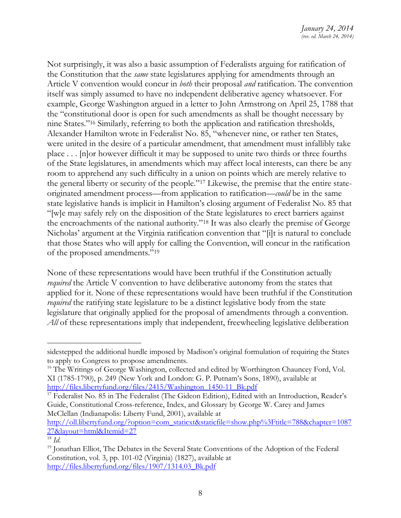Not surprisingly, it was also a basic assumption of Federalists arguing for ratification of the Constitution that the *same* state legislatures applying for amendments through an Article V convention would concur in *both* their proposal *and* ratification. The convention itself was simply assumed to have no independent deliberative agency whatsoever. For example, George Washington argued in a letter to John Armstrong on April 25, 1788 that the "constitutional door is open for such amendments as shall be thought necessary by nine States."<sup>16</sup> Similarly, referring to both the application and ratification thresholds, Alexander Hamilton wrote in Federalist No. 85, "whenever nine, or rather ten States, were united in the desire of a particular amendment, that amendment must infallibly take place . . . [n]or however difficult it may be supposed to unite two thirds or three fourths of the State legislatures, in amendments which may affect local interests, can there be any room to apprehend any such difficulty in a union on points which are merely relative to the general liberty or security of the people."<sup>17</sup> Likewise, the premise that the entire stateoriginated amendment process—from application to ratification—*could* be in the same state legislative hands is implicit in Hamilton's closing argument of Federalist No. 85 that "[w]e may safely rely on the disposition of the State legislatures to erect barriers against the encroachments of the national authority."<sup>18</sup> It was also clearly the premise of George Nicholas' argument at the Virginia ratification convention that "[i]t is natural to conclude that those States who will apply for calling the Convention, will concur in the ratification of the proposed amendments."<sup>19</sup>

None of these representations would have been truthful if the Constitution actually *required* the Article V convention to have deliberative autonomy from the states that applied for it. None of these representations would have been truthful if the Constitution *required* the ratifying state legislature to be a distinct legislative body from the state legislature that originally applied for the proposal of amendments through a convention. All of these representations imply that independent, freewheeling legislative deliberation

[http://oll.libertyfund.org/?option=com\\_staticxt&staticfile=show.php%3Ftitle=788&chapter=1087](http://oll.libertyfund.org/?option=com_staticxt&staticfile=show.php%3Ftitle=788&chapter=108727&layout=html&Itemid=27) [27&layout=html&Itemid=27](http://oll.libertyfund.org/?option=com_staticxt&staticfile=show.php%3Ftitle=788&chapter=108727&layout=html&Itemid=27)

sidestepped the additional hurdle imposed by Madison's original formulation of requiring the States to apply to Congress to propose amendments.

<sup>&</sup>lt;sup>16</sup> The Writings of George Washington, collected and edited by Worthington Chauncey Ford, Vol. XI (1785-1790), p. 249 (New York and London: G. P. Putnam's Sons, 1890), available at [http://files.libertyfund.org/files/2415/Washington\\_1450-11\\_Bk.pdf](http://files.libertyfund.org/files/2415/Washington_1450-11_Bk.pdf)

<sup>&</sup>lt;sup>17</sup> Federalist No. 85 in The Federalist (The Gideon Edition), Edited with an Introduction, Reader's Guide, Constitutional Cross-reference, Index, and Glossary by George W. Carey and James McClellan (Indianapolis: Liberty Fund, 2001), available at

<sup>18</sup> *Id*.

<sup>&</sup>lt;sup>19</sup> Jonathan Elliot, The Debates in the Several State Conventions of the Adoption of the Federal Constitution, vol. 3, pp. 101-02 (Virginia) (1827), available at http://files.libertyfund.org/files/1907/1314.03 Bk.pdf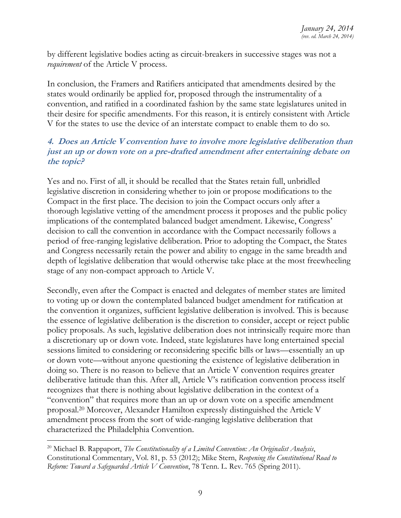by different legislative bodies acting as circuit-breakers in successive stages was not a *requirement* of the Article V process.

In conclusion, the Framers and Ratifiers anticipated that amendments desired by the states would ordinarily be applied for, proposed through the instrumentality of a convention, and ratified in a coordinated fashion by the same state legislatures united in their desire for specific amendments. For this reason, it is entirely consistent with Article V for the states to use the device of an interstate compact to enable them to do so.

# <span id="page-9-0"></span>**4. Does an Article V convention have to involve more legislative deliberation than just an up or down vote on a pre-drafted amendment after entertaining debate on the topic?**

Yes and no. First of all, it should be recalled that the States retain full, unbridled legislative discretion in considering whether to join or propose modifications to the Compact in the first place. The decision to join the Compact occurs only after a thorough legislative vetting of the amendment process it proposes and the public policy implications of the contemplated balanced budget amendment. Likewise, Congress' decision to call the convention in accordance with the Compact necessarily follows a period of free-ranging legislative deliberation. Prior to adopting the Compact, the States and Congress necessarily retain the power and ability to engage in the same breadth and depth of legislative deliberation that would otherwise take place at the most freewheeling stage of any non-compact approach to Article V.

Secondly, even after the Compact is enacted and delegates of member states are limited to voting up or down the contemplated balanced budget amendment for ratification at the convention it organizes, sufficient legislative deliberation is involved. This is because the essence of legislative deliberation is the discretion to consider, accept or reject public policy proposals. As such, legislative deliberation does not intrinsically require more than a discretionary up or down vote. Indeed, state legislatures have long entertained special sessions limited to considering or reconsidering specific bills or laws—essentially an up or down vote—without anyone questioning the existence of legislative deliberation in doing so. There is no reason to believe that an Article V convention requires greater deliberative latitude than this. After all, Article V's ratification convention process itself recognizes that there is nothing about legislative deliberation in the context of a "convention" that requires more than an up or down vote on a specific amendment proposal.<sup>20</sup> Moreover, Alexander Hamilton expressly distinguished the Article V amendment process from the sort of wide-ranging legislative deliberation that characterized the Philadelphia Convention.

<sup>20</sup> Michael B. Rappaport, *The Constitutionality of a Limited Convention: An Originalist Analysis*, Constitutional Commentary, Vol. 81, p. 53 (2012); Mike Stern, *Reopening the Constitutional Road to Reform: Toward a Safeguarded Article V Convention*, 78 Tenn. L. Rev. 765 (Spring 2011).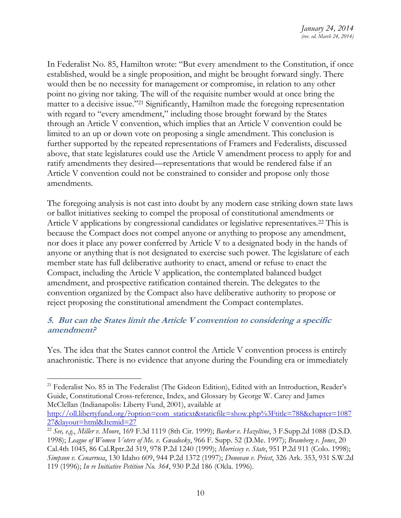In Federalist No. 85, Hamilton wrote: "But every amendment to the Constitution, if once established, would be a single proposition, and might be brought forward singly. There would then be no necessity for management or compromise, in relation to any other point no giving nor taking. The will of the requisite number would at once bring the matter to a decisive issue."<sup>21</sup> Significantly, Hamilton made the foregoing representation with regard to "every amendment," including those brought forward by the States through an Article V convention, which implies that an Article V convention could be limited to an up or down vote on proposing a single amendment. This conclusion is further supported by the repeated representations of Framers and Federalists, discussed above, that state legislatures could use the Article V amendment process to apply for and ratify amendments they desired—representations that would be rendered false if an Article V convention could not be constrained to consider and propose only those amendments.

The foregoing analysis is not cast into doubt by any modern case striking down state laws or ballot initiatives seeking to compel the proposal of constitutional amendments or Article V applications by congressional candidates or legislative representatives.<sup>22</sup> This is because the Compact does not compel anyone or anything to propose any amendment, nor does it place any power conferred by Article V to a designated body in the hands of anyone or anything that is not designated to exercise such power. The legislature of each member state has full deliberative authority to enact, amend or refuse to enact the Compact, including the Article V application, the contemplated balanced budget amendment, and prospective ratification contained therein. The delegates to the convention organized by the Compact also have deliberative authority to propose or reject proposing the constitutional amendment the Compact contemplates.

# <span id="page-10-0"></span>**5. But can the States limit the Article V convention to considering a specific amendment?**

Yes. The idea that the States cannot control the Article V convention process is entirely anachronistic. There is no evidence that anyone during the Founding era or immediately

<sup>&</sup>lt;sup>21</sup> Federalist No. 85 in The Federalist (The Gideon Edition), Edited with an Introduction, Reader's Guide, Constitutional Cross-reference, Index, and Glossary by George W. Carey and James McClellan (Indianapolis: Liberty Fund, 2001), available at

[http://oll.libertyfund.org/?option=com\\_staticxt&staticfile=show.php%3Ftitle=788&chapter=1087](http://oll.libertyfund.org/?option=com_staticxt&staticfile=show.php%3Ftitle=788&chapter=108727&layout=html&Itemid=27) [27&layout=html&Itemid=27](http://oll.libertyfund.org/?option=com_staticxt&staticfile=show.php%3Ftitle=788&chapter=108727&layout=html&Itemid=27)

<sup>22</sup> *See, e.g.*, *Miller v. Moore*, 169 F.3d 1119 (8th Cir. 1999); *Barker v. Hazeltine*, 3 F.Supp.2d 1088 (D.S.D. 1998); *League of Women Voters of Me. v. Gwadosky*, 966 F. Supp. 52 (D.Me. 1997); *Bramberg v. Jones*, 20 Cal.4th 1045, 86 Cal.Rptr.2d 319, 978 P.2d 1240 (1999); *Morrissey v. State*, 951 P.2d 911 (Colo. 1998); *Simpson v. Cenarrusa*, 130 Idaho 609, 944 P.2d 1372 (1997); *Donovan v. Priest*, 326 Ark. 353, 931 S.W.2d 119 (1996); *In re Initiative Petition No. 364*, 930 P.2d 186 (Okla. 1996).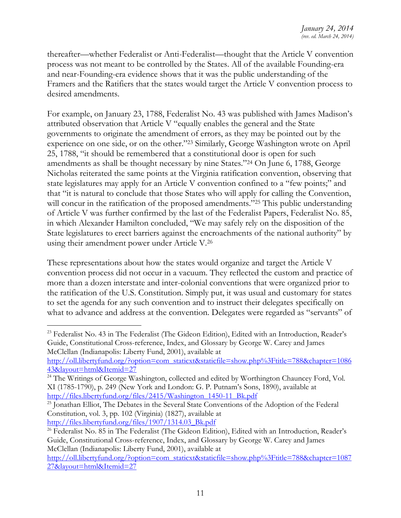thereafter—whether Federalist or Anti-Federalist—thought that the Article V convention process was not meant to be controlled by the States. All of the available Founding-era and near-Founding-era evidence shows that it was the public understanding of the Framers and the Ratifiers that the states would target the Article V convention process to desired amendments.

For example, on January 23, 1788, Federalist No. 43 was published with James Madison's attributed observation that Article V "equally enables the general and the State governments to originate the amendment of errors, as they may be pointed out by the experience on one side, or on the other."<sup>23</sup> Similarly, George Washington wrote on April 25, 1788, "it should be remembered that a constitutional door is open for such amendments as shall be thought necessary by nine States."<sup>24</sup> On June 6, 1788, George Nicholas reiterated the same points at the Virginia ratification convention, observing that state legislatures may apply for an Article V convention confined to a "few points;" and that "it is natural to conclude that those States who will apply for calling the Convention, will concur in the ratification of the proposed amendments."<sup>25</sup> This public understanding of Article V was further confirmed by the last of the Federalist Papers, Federalist No. 85, in which Alexander Hamilton concluded, "We may safely rely on the disposition of the State legislatures to erect barriers against the encroachments of the national authority" by using their amendment power under Article V.<sup>26</sup>

These representations about how the states would organize and target the Article V convention process did not occur in a vacuum. They reflected the custom and practice of more than a dozen interstate and inter-colonial conventions that were organized prior to the ratification of the U.S. Constitution. Simply put, it was usual and customary for states to set the agenda for any such convention and to instruct their delegates specifically on what to advance and address at the convention. Delegates were regarded as "servants" of

[http://oll.libertyfund.org/?option=com\\_staticxt&staticfile=show.php%3Ftitle=788&chapter=1086](http://oll.libertyfund.org/?option=com_staticxt&staticfile=show.php%3Ftitle=788&chapter=108643&layout=html&Itemid=27) [43&layout=html&Itemid=27](http://oll.libertyfund.org/?option=com_staticxt&staticfile=show.php%3Ftitle=788&chapter=108643&layout=html&Itemid=27)

 <sup>23</sup> Federalist No. 43 in The Federalist (The Gideon Edition), Edited with an Introduction, Reader's Guide, Constitutional Cross-reference, Index, and Glossary by George W. Carey and James McClellan (Indianapolis: Liberty Fund, 2001), available at

<sup>&</sup>lt;sup>24</sup> The Writings of George Washington, collected and edited by Worthington Chauncey Ford, Vol. XI (1785-1790), p. 249 (New York and London: G. P. Putnam's Sons, 1890), available at [http://files.libertyfund.org/files/2415/Washington\\_1450-11\\_Bk.pdf](http://files.libertyfund.org/files/2415/Washington_1450-11_Bk.pdf)

<sup>&</sup>lt;sup>25</sup> Jonathan Elliot, The Debates in the Several State Conventions of the Adoption of the Federal Constitution, vol. 3, pp. 102 (Virginia) (1827), available at [http://files.libertyfund.org/files/1907/1314.03\\_Bk.pdf](http://files.libertyfund.org/files/1907/1314.03_Bk.pdf)

<sup>&</sup>lt;sup>26</sup> Federalist No. 85 in The Federalist (The Gideon Edition), Edited with an Introduction, Reader's Guide, Constitutional Cross-reference, Index, and Glossary by George W. Carey and James McClellan (Indianapolis: Liberty Fund, 2001), available at

[http://oll.libertyfund.org/?option=com\\_staticxt&staticfile=show.php%3Ftitle=788&chapter=1087](http://oll.libertyfund.org/?option=com_staticxt&staticfile=show.php%3Ftitle=788&chapter=108727&layout=html&Itemid=27) [27&layout=html&Itemid=27](http://oll.libertyfund.org/?option=com_staticxt&staticfile=show.php%3Ftitle=788&chapter=108727&layout=html&Itemid=27)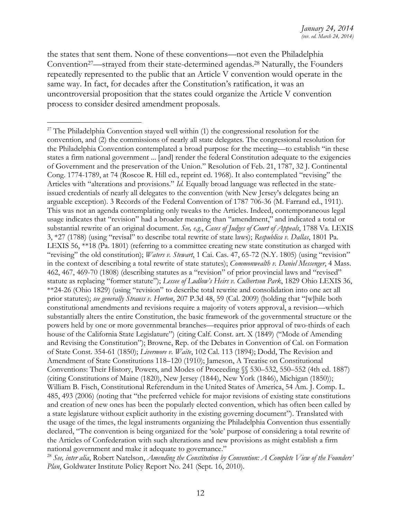the states that sent them. None of these conventions—not even the Philadelphia Convention27—strayed from their state-determined agendas.<sup>28</sup> Naturally, the Founders repeatedly represented to the public that an Article V convention would operate in the same way. In fact, for decades after the Constitution's ratification, it was an uncontroversial proposition that the states could organize the Article V convention process to consider desired amendment proposals.

 $27$  The Philadelphia Convention stayed well within (1) the congressional resolution for the convention, and (2) the commissions of nearly all state delegates. The congressional resolution for the Philadelphia Convention contemplated a broad purpose for the meeting—to establish "in these states a firm national government ... [and] render the federal Constitution adequate to the exigencies of Government and the preservation of the Union." Resolution of Feb. 21, 1787, 32 J. Continental Cong. 1774-1789, at 74 (Roscoe R. Hill ed., reprint ed. 1968). It also contemplated "revising" the Articles with "alterations and provisions." *Id.* Equally broad language was reflected in the stateissued credentials of nearly all delegates to the convention (with New Jersey's delegates being an arguable exception). 3 Records of the Federal Convention of 1787 706-36 (M. Farrand ed., 1911). This was not an agenda contemplating only tweaks to the Articles. Indeed, contemporaneous legal usage indicates that "revision" had a broader meaning than "amendment," and indicated a total or substantial rewrite of an original document. *See, e.g*., *Cases of Judges of Court of Appeals*, 1788 Va. LEXIS 3, \*27 (1788) (using "revisal" to describe total rewrite of state laws); *Respublica v. Dallas*, 1801 Pa. LEXIS 56, \*\*18 (Pa. 1801) (referring to a committee creating new state constitution as charged with "revising" the old constitution); *Waters v. Stewart*, 1 Cai. Cas. 47, 65-72 (N.Y. 1805) (using "revision" in the context of describing a total rewrite of state statutes); *Commonwealth v. Daniel Messenger*, 4 Mass. 462, 467, 469-70 (1808) (describing statutes as a "revision" of prior provincial laws and "revised" statute as replacing "former statute"); *Lessee of Ludlow's Heirs v. Culbertson Park*, 1829 Ohio LEXIS 36, \*\*24-26 (Ohio 1829) (using "revision" to describe total rewrite and consolidation into one act all prior statutes); *see generally Strauss v. Horton*, 207 P.3d 48, 59 (Cal. 2009) (holding that "[w]hile both constitutional amendments and revisions require a majority of voters approval, a revision—which substantially alters the entire Constitution, the basic framework of the governmental structure or the powers held by one or more governmental branches—requires prior approval of two-thirds of each house of the California State Legislature") (citing Calf. Const. art. X (1849) ("Mode of Amending and Revising the Constitution"); Browne, Rep. of the Debates in Convention of Cal. on Formation of State Const. 354-61 (1850); *Livermore v. Waite*, 102 Cal. 113 (1894); Dodd, The Revision and Amendment of State Constitutions 118–120 (1910); Jameson, A Treatise on Constitutional Conventions: Their History, Powers, and Modes of Proceeding §§ 530–532, 550–552 (4th ed. 1887) (citing Constitutions of Maine (1820), New Jersey (1844), New York (1846), Michigan (1850)); William B. Fisch, Constitutional Referendum in the United States of America, 54 Am. J. Comp. L. 485, 493 (2006) (noting that "the preferred vehicle for major revisions of existing state constitutions and creation of new ones has been the popularly elected convention, which has often been called by a state legislature without explicit authority in the existing governing document"). Translated with the usage of the times, the legal instruments organizing the Philadelphia Convention thus essentially declared, "The convention is being organized for the 'sole' purpose of considering a total rewrite of the Articles of Confederation with such alterations and new provisions as might establish a firm national government and make it adequate to governance."

<sup>28</sup> *See, inter alia*, Robert Natelson, *Amending the Constitution by Convention: A Complete View of the Founders' Plan*, Goldwater Institute Policy Report No. 241 (Sept. 16, 2010).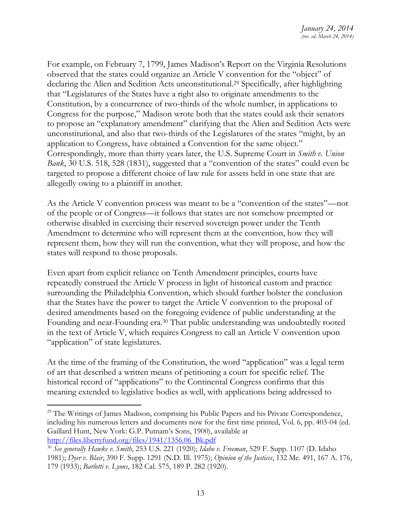For example, on February 7, 1799, James Madison's Report on the Virginia Resolutions observed that the states could organize an Article V convention for the "object" of declaring the Alien and Sedition Acts unconstitutional. <sup>29</sup> Specifically, after highlighting that "Legislatures of the States have a right also to originate amendments to the Constitution, by a concurrence of two-thirds of the whole number, in applications to Congress for the purpose," Madison wrote both that the states could ask their senators to propose an "explanatory amendment" clarifying that the Alien and Sedition Acts were unconstitutional, and also that two-thirds of the Legislatures of the states "might, by an application to Congress, have obtained a Convention for the same object." Correspondingly, more than thirty years later, the U.S. Supreme Court in *Smith v. Union Bank*, 30 U.S. 518, 528 (1831), suggested that a "convention of the states" could even be targeted to propose a different choice of law rule for assets held in one state that are allegedly owing to a plaintiff in another.

As the Article V convention process was meant to be a "convention of the states"—not of the people or of Congress—it follows that states are not somehow preempted or otherwise disabled in exercising their reserved sovereign power under the Tenth Amendment to determine who will represent them at the convention, how they will represent them, how they will run the convention, what they will propose, and how the states will respond to those proposals.

Even apart from explicit reliance on Tenth Amendment principles, courts have repeatedly construed the Article V process in light of historical custom and practice surrounding the Philadelphia Convention, which should further bolster the conclusion that the States have the power to target the Article V convention to the proposal of desired amendments based on the foregoing evidence of public understanding at the Founding and near-Founding era.<sup>30</sup> That public understanding was undoubtedly rooted in the text of Article V, which requires Congress to call an Article V convention upon "application" of state legislatures.

At the time of the framing of the Constitution, the word "application" was a legal term of art that described a written means of petitioning a court for specific relief. The historical record of "applications" to the Continental Congress confirms that this meaning extended to legislative bodies as well, with applications being addressed to

<sup>&</sup>lt;sup>29</sup> The Writings of James Madison, comprising his Public Papers and his Private Correspondence, including his numerous letters and documents now for the first time printed, Vol. 6, pp. 403-04 (ed. Gaillard Hunt, New York: G.P. Putnam's Sons, 1900), available at [http://files.libertyfund.org/files/1941/1356.06\\_Bk.pdf](http://files.libertyfund.org/files/1941/1356.06_Bk.pdf)

<sup>30</sup> *See generally Hawke v. Smith*, 253 U.S. 221 (1920); *Idaho v. Freeman*, 529 F. Supp. 1107 (D. Idaho 1981); *Dyer v. Blair*, 390 F. Supp. 1291 (N.D. Ill. 1975); *Opinion of the Justices*, 132 Me. 491, 167 A. 176, 179 (1933); *Barlotti v. Lyons*, 182 Cal. 575, 189 P. 282 (1920).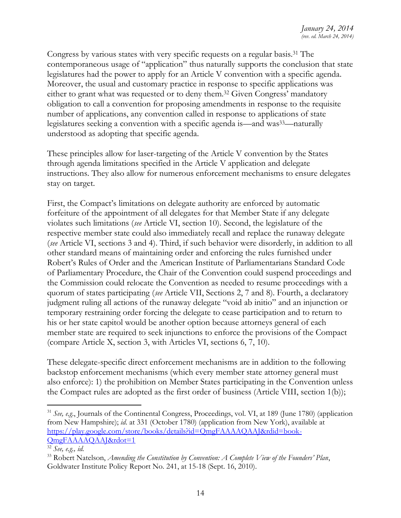Congress by various states with very specific requests on a regular basis.<sup>31</sup> The contemporaneous usage of "application" thus naturally supports the conclusion that state legislatures had the power to apply for an Article V convention with a specific agenda. Moreover, the usual and customary practice in response to specific applications was either to grant what was requested or to deny them.<sup>32</sup> Given Congress' mandatory obligation to call a convention for proposing amendments in response to the requisite number of applications, any convention called in response to applications of state legislatures seeking a convention with a specific agenda is—and was<sup>33</sup>—naturally understood as adopting that specific agenda.

These principles allow for laser-targeting of the Article V convention by the States through agenda limitations specified in the Article V application and delegate instructions. They also allow for numerous enforcement mechanisms to ensure delegates stay on target.

First, the Compact's limitations on delegate authority are enforced by automatic forfeiture of the appointment of all delegates for that Member State if any delegate violates such limitations (*see* Article VI, section 10). Second, the legislature of the respective member state could also immediately recall and replace the runaway delegate (*see* Article VI, sections 3 and 4). Third, if such behavior were disorderly, in addition to all other standard means of maintaining order and enforcing the rules furnished under Robert's Rules of Order and the American Institute of Parliamentarians Standard Code of Parliamentary Procedure, the Chair of the Convention could suspend proceedings and the Commission could relocate the Convention as needed to resume proceedings with a quorum of states participating (*see* Article VII, Sections 2, 7 and 8). Fourth, a declaratory judgment ruling all actions of the runaway delegate "void ab initio" and an injunction or temporary restraining order forcing the delegate to cease participation and to return to his or her state capitol would be another option because attorneys general of each member state are required to seek injunctions to enforce the provisions of the Compact (compare Article X, section 3, with Articles VI, sections 6, 7, 10).

These delegate-specific direct enforcement mechanisms are in addition to the following backstop enforcement mechanisms (which every member state attorney general must also enforce): 1) the prohibition on Member States participating in the Convention unless the Compact rules are adopted as the first order of business (Article VIII, section 1(b));

<sup>31</sup> *See, e.g*., Journals of the Continental Congress, Proceedings, vol. VI, at 189 (June 1780) (application from New Hampshire); *id*. at 331 (October 1780) (application from New York), available at [https://play.google.com/store/books/details?id=QmgFAAAAQAAJ&rdid=book-](https://play.google.com/store/books/details?id=QmgFAAAAQAAJ&rdid=book-QmgFAAAAQAAJ&rdot=1)[QmgFAAAAQAAJ&rdot=1](https://play.google.com/store/books/details?id=QmgFAAAAQAAJ&rdid=book-QmgFAAAAQAAJ&rdot=1)

<sup>32</sup> *See, e.g., id.*

<sup>33</sup> Robert Natelson, *Amending the Constitution by Convention: A Complete View of the Founders' Plan*, Goldwater Institute Policy Report No. 241, at 15-18 (Sept. 16, 2010).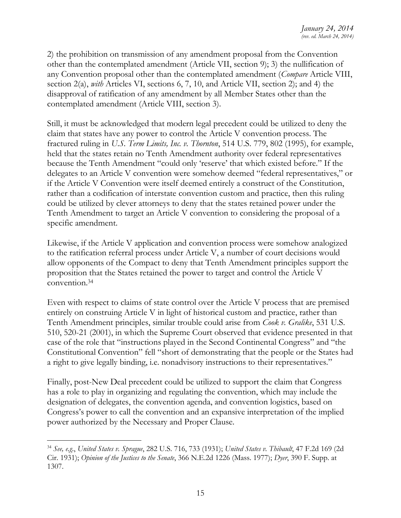2) the prohibition on transmission of any amendment proposal from the Convention other than the contemplated amendment (Article VII, section 9); 3) the nullification of any Convention proposal other than the contemplated amendment (*Compare* Article VIII, section 2(a), *with* Articles VI, sections 6, 7, 10, and Article VII, section 2); and 4) the disapproval of ratification of any amendment by all Member States other than the contemplated amendment (Article VIII, section 3).

Still, it must be acknowledged that modern legal precedent could be utilized to deny the claim that states have any power to control the Article V convention process. The fractured ruling in *U.S. Term Limits, Inc. v. Thornton*, 514 U.S. 779, 802 (1995), for example, held that the states retain no Tenth Amendment authority over federal representatives because the Tenth Amendment "could only 'reserve' that which existed before." If the delegates to an Article V convention were somehow deemed "federal representatives," or if the Article V Convention were itself deemed entirely a construct of the Constitution, rather than a codification of interstate convention custom and practice, then this ruling could be utilized by clever attorneys to deny that the states retained power under the Tenth Amendment to target an Article V convention to considering the proposal of a specific amendment.

Likewise, if the Article V application and convention process were somehow analogized to the ratification referral process under Article V, a number of court decisions would allow opponents of the Compact to deny that Tenth Amendment principles support the proposition that the States retained the power to target and control the Article V convention.<sup>34</sup>

Even with respect to claims of state control over the Article V process that are premised entirely on construing Article V in light of historical custom and practice, rather than Tenth Amendment principles, similar trouble could arise from *Cook v. Gralike*, 531 U.S. 510, 520-21 (2001), in which the Supreme Court observed that evidence presented in that case of the role that "instructions played in the Second Continental Congress" and "the Constitutional Convention" fell "short of demonstrating that the people or the States had a right to give legally binding, i.e. nonadvisory instructions to their representatives."

Finally, post-New Deal precedent could be utilized to support the claim that Congress has a role to play in organizing and regulating the convention, which may include the designation of delegates, the convention agenda, and convention logistics, based on Congress's power to call the convention and an expansive interpretation of the implied power authorized by the Necessary and Proper Clause.

<sup>34</sup> *See, e.g*., *United States v. Sprague*, 282 U.S. 716, 733 (1931); *United States v. Thibault*, 47 F.2d 169 (2d Cir. 1931); *Opinion of the Justices to the Senate*, 366 N.E.2d 1226 (Mass. 1977); *Dyer*, 390 F. Supp. at 1307.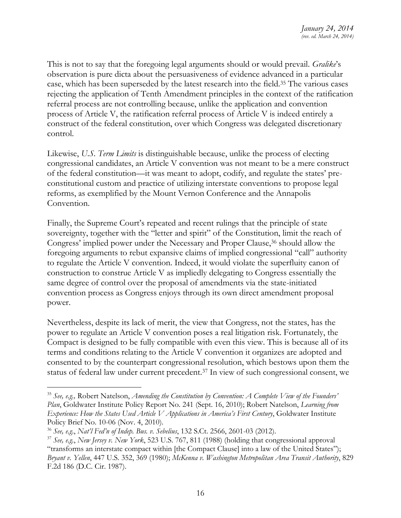This is not to say that the foregoing legal arguments should or would prevail. *Gralike*'s observation is pure dicta about the persuasiveness of evidence advanced in a particular case, which has been superseded by the latest research into the field.<sup>35</sup> The various cases rejecting the application of Tenth Amendment principles in the context of the ratification referral process are not controlling because, unlike the application and convention process of Article V, the ratification referral process of Article V is indeed entirely a construct of the federal constitution, over which Congress was delegated discretionary control.

Likewise, *U.S. Term Limits* is distinguishable because, unlike the process of electing congressional candidates, an Article V convention was not meant to be a mere construct of the federal constitution—it was meant to adopt, codify, and regulate the states' preconstitutional custom and practice of utilizing interstate conventions to propose legal reforms, as exemplified by the Mount Vernon Conference and the Annapolis Convention.

Finally, the Supreme Court's repeated and recent rulings that the principle of state sovereignty, together with the "letter and spirit" of the Constitution, limit the reach of Congress' implied power under the Necessary and Proper Clause,<sup>36</sup> should allow the foregoing arguments to rebut expansive claims of implied congressional "call" authority to regulate the Article V convention. Indeed, it would violate the superfluity canon of construction to construe Article V as impliedly delegating to Congress essentially the same degree of control over the proposal of amendments via the state-initiated convention process as Congress enjoys through its own direct amendment proposal power.

Nevertheless, despite its lack of merit, the view that Congress, not the states, has the power to regulate an Article V convention poses a real litigation risk. Fortunately, the Compact is designed to be fully compatible with even this view. This is because all of its terms and conditions relating to the Article V convention it organizes are adopted and consented to by the counterpart congressional resolution, which bestows upon them the status of federal law under current precedent.<sup>37</sup> In view of such congressional consent, we

<sup>35</sup> *See, e.g.,* Robert Natelson, *Amending the Constitution by Convention: A Complete View of the Founders' Plan*, Goldwater Institute Policy Report No. 241 (Sept. 16, 2010); Robert Natelson, *Learning from Experience: How the States Used Article V Applications in America's First Century*, Goldwater Institute Policy Brief No. 10-06 (Nov. 4, 2010).

<sup>36</sup> *See, e.g*., *Nat'l Fed'n of Indep. Bus. v. Sebelius*, 132 S.Ct. 2566, 2601-03 (2012).

<sup>37</sup> *See, e.g.*, *New Jersey v. New York*, 523 U.S. 767, 811 (1988) (holding that congressional approval "transforms an interstate compact within [the Compact Clause] into a law of the United States"); *Bryant v. Yellen*, 447 U.S. 352, 369 (1980); *McKenna v. Washington Metropolitan Area Transit Authority*, 829 F.2d 186 (D.C. Cir. 1987).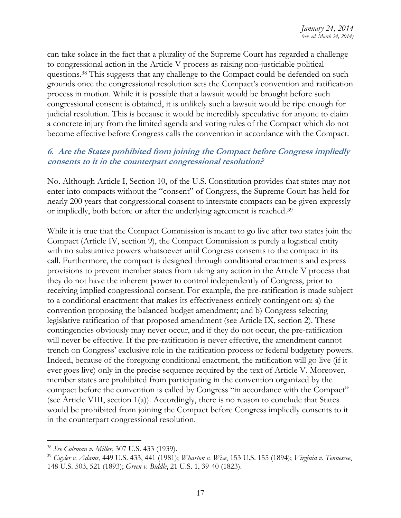can take solace in the fact that a plurality of the Supreme Court has regarded a challenge to congressional action in the Article V process as raising non-justiciable political questions. <sup>38</sup> This suggests that any challenge to the Compact could be defended on such grounds once the congressional resolution sets the Compact's convention and ratification process in motion. While it is possible that a lawsuit would be brought before such congressional consent is obtained, it is unlikely such a lawsuit would be ripe enough for judicial resolution. This is because it would be incredibly speculative for anyone to claim a concrete injury from the limited agenda and voting rules of the Compact which do not become effective before Congress calls the convention in accordance with the Compact.

#### <span id="page-17-0"></span>**6. Are the States prohibited from joining the Compact before Congress impliedly consents to it in the counterpart congressional resolution?**

No. Although Article I, Section 10, of the U.S. Constitution provides that states may not enter into compacts without the "consent" of Congress, the Supreme Court has held for nearly 200 years that congressional consent to interstate compacts can be given expressly or impliedly, both before or after the underlying agreement is reached.<sup>39</sup>

While it is true that the Compact Commission is meant to go live after two states join the Compact (Article IV, section 9), the Compact Commission is purely a logistical entity with no substantive powers whatsoever until Congress consents to the compact in its call. Furthermore, the compact is designed through conditional enactments and express provisions to prevent member states from taking any action in the Article V process that they do not have the inherent power to control independently of Congress, prior to receiving implied congressional consent. For example, the pre-ratification is made subject to a conditional enactment that makes its effectiveness entirely contingent on: a) the convention proposing the balanced budget amendment; and b) Congress selecting legislative ratification of that proposed amendment (see Article IX, section 2). These contingencies obviously may never occur, and if they do not occur, the pre-ratification will never be effective. If the pre-ratification is never effective, the amendment cannot trench on Congress' exclusive role in the ratification process or federal budgetary powers. Indeed, because of the foregoing conditional enactment, the ratification will go live (if it ever goes live) only in the precise sequence required by the text of Article V. Moreover, member states are prohibited from participating in the convention organized by the compact before the convention is called by Congress "in accordance with the Compact" (see Article VIII, section 1(a)). Accordingly, there is no reason to conclude that States would be prohibited from joining the Compact before Congress impliedly consents to it in the counterpart congressional resolution.

<sup>38</sup> *See Coleman v. Miller*, 307 U.S. 433 (1939).

<sup>39</sup> *Cuyler v. Adams*, 449 U.S. 433, 441 (1981); *Wharton v. Wise*, 153 U.S. 155 (1894); *Virginia v. Tennessee*, 148 U.S. 503, 521 (1893); *Green v. Biddle*, 21 U.S. 1, 39-40 (1823).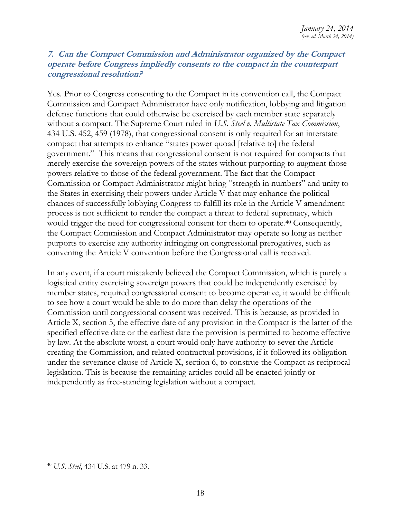#### <span id="page-18-0"></span>**7. Can the Compact Commission and Administrator organized by the Compact operate before Congress impliedly consents to the compact in the counterpart congressional resolution?**

Yes. Prior to Congress consenting to the Compact in its convention call, the Compact Commission and Compact Administrator have only notification, lobbying and litigation defense functions that could otherwise be exercised by each member state separately without a compact. The Supreme Court ruled in *U.S. Steel v. Multistate Tax Commission*, 434 U.S. 452, 459 (1978), that congressional consent is only required for an interstate compact that attempts to enhance "states power quoad [relative to] the federal government." This means that congressional consent is not required for compacts that merely exercise the sovereign powers of the states without purporting to augment those powers relative to those of the federal government. The fact that the Compact Commission or Compact Administrator might bring "strength in numbers" and unity to the States in exercising their powers under Article V that may enhance the political chances of successfully lobbying Congress to fulfill its role in the Article V amendment process is not sufficient to render the compact a threat to federal supremacy, which would trigger the need for congressional consent for them to operate.<sup>40</sup> Consequently, the Compact Commission and Compact Administrator may operate so long as neither purports to exercise any authority infringing on congressional prerogatives, such as convening the Article V convention before the Congressional call is received.

In any event, if a court mistakenly believed the Compact Commission, which is purely a logistical entity exercising sovereign powers that could be independently exercised by member states, required congressional consent to become operative, it would be difficult to see how a court would be able to do more than delay the operations of the Commission until congressional consent was received. This is because, as provided in Article X, section 5, the effective date of any provision in the Compact is the latter of the specified effective date or the earliest date the provision is permitted to become effective by law. At the absolute worst, a court would only have authority to sever the Article creating the Commission, and related contractual provisions, if it followed its obligation under the severance clause of Article X, section 6, to construe the Compact as reciprocal legislation. This is because the remaining articles could all be enacted jointly or independently as free-standing legislation without a compact.

<sup>40</sup> *U.S. Steel*, 434 U.S. at 479 n. 33.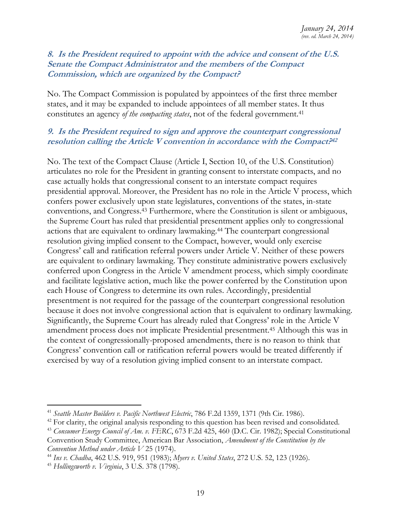#### <span id="page-19-0"></span>**8. Is the President required to appoint with the advice and consent of the U.S. Senate the Compact Administrator and the members of the Compact Commission, which are organized by the Compact?**

No. The Compact Commission is populated by appointees of the first three member states, and it may be expanded to include appointees of all member states. It thus constitutes an agency *of the compacting states*, not of the federal government.<sup>41</sup>

#### <span id="page-19-1"></span>**9. Is the President required to sign and approve the counterpart congressional resolution calling the Article V convention in accordance with the Compact? 42**

No. The text of the Compact Clause (Article I, Section 10, of the U.S. Constitution) articulates no role for the President in granting consent to interstate compacts, and no case actually holds that congressional consent to an interstate compact requires presidential approval. Moreover, the President has no role in the Article V process, which confers power exclusively upon state legislatures, conventions of the states, in-state conventions, and Congress.<sup>43</sup> Furthermore, where the Constitution is silent or ambiguous, the Supreme Court has ruled that presidential presentment applies only to congressional actions that are equivalent to ordinary lawmaking.<sup>44</sup> The counterpart congressional resolution giving implied consent to the Compact, however, would only exercise Congress' call and ratification referral powers under Article V. Neither of these powers are equivalent to ordinary lawmaking. They constitute administrative powers exclusively conferred upon Congress in the Article V amendment process, which simply coordinate and facilitate legislative action, much like the power conferred by the Constitution upon each House of Congress to determine its own rules. Accordingly, presidential presentment is not required for the passage of the counterpart congressional resolution because it does not involve congressional action that is equivalent to ordinary lawmaking. Significantly, the Supreme Court has already ruled that Congress' role in the Article V amendment process does not implicate Presidential presentment.<sup>45</sup> Although this was in the context of congressionally-proposed amendments, there is no reason to think that Congress' convention call or ratification referral powers would be treated differently if exercised by way of a resolution giving implied consent to an interstate compact.

<sup>&</sup>lt;sup>41</sup> Seattle Master Builders v. Pacific Northwest Electric, 786 F.2d 1359, 1371 (9th Cir. 1986).

<sup>&</sup>lt;sup>42</sup> For clarity, the original analysis responding to this question has been revised and consolidated.

<sup>43</sup> *Consumer Energy Council of Am. v. FERC*, 673 F.2d 425, 460 (D.C. Cir. 1982); Special Constitutional Convention Study Committee, American Bar Association, *Amendment of the Constitution by the Convention Method under Article V* 25 (1974).

<sup>44</sup> *Ins v. Chadha*, 462 U.S. 919, 951 (1983); *Myers v. United States*, 272 U.S. 52, 123 (1926).

<sup>45</sup> *Hollingsworth v. Virginia*, 3 U.S. 378 (1798).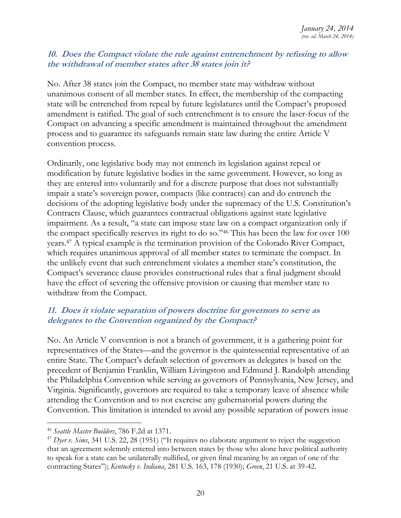#### <span id="page-20-0"></span>**10. Does the Compact violate the rule against entrenchment by refusing to allow the withdrawal of member states after 38 states join it?**

No. After 38 states join the Compact, no member state may withdraw without unanimous consent of all member states. In effect, the membership of the compacting state will be entrenched from repeal by future legislatures until the Compact's proposed amendment is ratified. The goal of such entrenchment is to ensure the laser-focus of the Compact on advancing a specific amendment is maintained throughout the amendment process and to guarantee its safeguards remain state law during the entire Article V convention process.

Ordinarily, one legislative body may not entrench its legislation against repeal or modification by future legislative bodies in the same government. However, so long as they are entered into voluntarily and for a discrete purpose that does not substantially impair a state's sovereign power, compacts (like contracts) can and do entrench the decisions of the adopting legislative body under the supremacy of the U.S. Constitution's Contracts Clause, which guarantees contractual obligations against state legislative impairment. As a result, "a state can impose state law on a compact organization only if the compact specifically reserves its right to do so."<sup>46</sup> This has been the law for over 100 years.<sup>47</sup> A typical example is the termination provision of the Colorado River Compact, which requires unanimous approval of all member states to terminate the compact. In the unlikely event that such entrenchment violates a member state's constitution, the Compact's severance clause provides constructional rules that a final judgment should have the effect of severing the offensive provision or causing that member state to withdraw from the Compact.

## <span id="page-20-1"></span>**11. Does it violate separation of powers doctrine for governors to serve as delegates to the Convention organized by the Compact?**

No. An Article V convention is not a branch of government, it is a gathering point for representatives of the States—and the governor is the quintessential representative of an entire State. The Compact's default selection of governors as delegates is based on the precedent of Benjamin Franklin, William Livingston and Edmund J. Randolph attending the Philadelphia Convention while serving as governors of Pennsylvania, New Jersey, and Virginia. Significantly, governors are required to take a temporary leave of absence while attending the Convention and to not exercise any gubernatorial powers during the Convention. This limitation is intended to avoid any possible separation of powers issue

<sup>46</sup> *Seattle Master Builders*, 786 F.2d at 1371.

<sup>47</sup> *Dyer v. Sims*, 341 U.S. 22, 28 (1951) ("It requires no elaborate argument to reject the suggestion that an agreement solemnly entered into between states by those who alone have political authority to speak for a state can be unilaterally nullified, or given final meaning by an organ of one of the contracting States"); *Kentucky v. Indiana*, 281 U.S. 163, 178 (1930); *Green*, 21 U.S. at 39-42.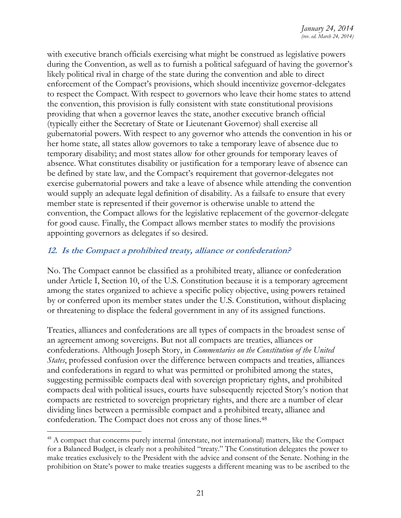with executive branch officials exercising what might be construed as legislative powers during the Convention, as well as to furnish a political safeguard of having the governor's likely political rival in charge of the state during the convention and able to direct enforcement of the Compact's provisions, which should incentivize governor-delegates to respect the Compact. With respect to governors who leave their home states to attend the convention, this provision is fully consistent with state constitutional provisions providing that when a governor leaves the state, another executive branch official (typically either the Secretary of State or Lieutenant Governor) shall exercise all gubernatorial powers. With respect to any governor who attends the convention in his or her home state, all states allow governors to take a temporary leave of absence due to temporary disability; and most states allow for other grounds for temporary leaves of absence. What constitutes disability or justification for a temporary leave of absence can be defined by state law, and the Compact's requirement that governor-delegates not exercise gubernatorial powers and take a leave of absence while attending the convention would supply an adequate legal definition of disability. As a failsafe to ensure that every member state is represented if their governor is otherwise unable to attend the convention, the Compact allows for the legislative replacement of the governor-delegate for good cause. Finally, the Compact allows member states to modify the provisions appointing governors as delegates if so desired.

# <span id="page-21-0"></span>**12. Is the Compact a prohibited treaty, alliance or confederation?**

No. The Compact cannot be classified as a prohibited treaty, alliance or confederation under Article I, Section 10, of the U.S. Constitution because it is a temporary agreement among the states organized to achieve a specific policy objective, using powers retained by or conferred upon its member states under the U.S. Constitution, without displacing or threatening to displace the federal government in any of its assigned functions.

Treaties, alliances and confederations are all types of compacts in the broadest sense of an agreement among sovereigns. But not all compacts are treaties, alliances or confederations. Although Joseph Story, in *Commentaries on the Constitution of the United States*, professed confusion over the difference between compacts and treaties, alliances and confederations in regard to what was permitted or prohibited among the states, suggesting permissible compacts deal with sovereign proprietary rights, and prohibited compacts deal with political issues, courts have subsequently rejected Story's notion that compacts are restricted to sovereign proprietary rights, and there are a number of clear dividing lines between a permissible compact and a prohibited treaty, alliance and confederation. The Compact does not cross any of those lines.<sup>48</sup>

<sup>&</sup>lt;sup>48</sup> A compact that concerns purely internal (interstate, not international) matters, like the Compact for a Balanced Budget, is clearly not a prohibited "treaty." The Constitution delegates the power to make treaties exclusively to the President with the advice and consent of the Senate. Nothing in the prohibition on State's power to make treaties suggests a different meaning was to be ascribed to the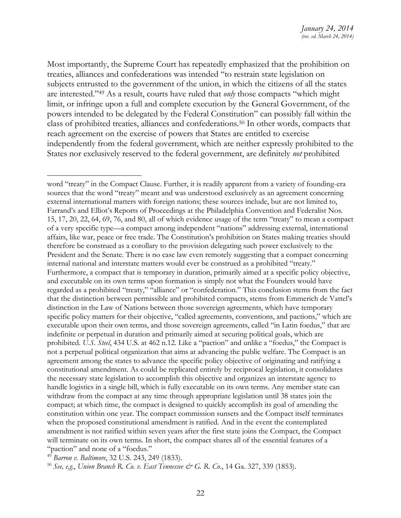Most importantly, the Supreme Court has repeatedly emphasized that the prohibition on treaties, alliances and confederations was intended "to restrain state legislation on subjects entrusted to the government of the union, in which the citizens of all the states are interested."<sup>49</sup> As a result, courts have ruled that *only* those compacts "which might limit, or infringe upon a full and complete execution by the General Government, of the powers intended to be delegated by the Federal Constitution" can possibly fall within the class of prohibited treaties, alliances and confederations.<sup>50</sup> In other words, compacts that reach agreement on the exercise of powers that States are entitled to exercise independently from the federal government, which are neither expressly prohibited to the States nor exclusively reserved to the federal government, are definitely *not* prohibited

<sup>49</sup> *Barron v. Baltimore*, 32 U.S. 243, 249 (1833).

word "treaty" in the Compact Clause. Further, it is readily apparent from a variety of founding-era sources that the word "treaty" meant and was understood exclusively as an agreement concerning external international matters with foreign nations; these sources include, but are not limited to, Farrand's and Elliot's Reports of Proceedings at the Philadelphia Convention and Federalist Nos. 15, 17, 20, 22, 64, 69, 76, and 80, all of which evidence usage of the term "treaty" to mean a compact of a very specific type—a compact among independent "nations" addressing external, international affairs, like war, peace or free trade. The Constitution's prohibition on States making treaties should therefore be construed as a corollary to the provision delegating such power exclusively to the President and the Senate. There is no case law even remotely suggesting that a compact concerning internal national and interstate matters would ever be construed as a prohibited "treaty." Furthermore, a compact that is temporary in duration, primarily aimed at a specific policy objective, and executable on its own terms upon formation is simply not what the Founders would have regarded as a prohibited "treaty," "alliance" or "confederation." This conclusion stems from the fact that the distinction between permissible and prohibited compacts, stems from Emmerich de Vattel's distinction in the Law of Nations between those sovereign agreements, which have temporary specific policy matters for their objective, "called agreements, conventions, and pactions," which are executable upon their own terms, and those sovereign agreements, called "in Latin foedus," that are indefinite or perpetual in duration and primarily aimed at securing political goals, which are prohibited. *U.S. Steel*, 434 U.S. at 462 n.12. Like a "paction" and unlike a "foedus," the Compact is not a perpetual political organization that aims at advancing the public welfare. The Compact is an agreement among the states to advance the specific policy objective of originating and ratifying a constitutional amendment. As could be replicated entirely by reciprocal legislation, it consolidates the necessary state legislation to accomplish this objective and organizes an interstate agency to handle logistics in a single bill, which is fully executable on its own terms. Any member state can withdraw from the compact at any time through appropriate legislation until 38 states join the compact; at which time, the compact is designed to quickly accomplish its goal of amending the constitution within one year. The compact commission sunsets and the Compact itself terminates when the proposed constitutional amendment is ratified. And in the event the contemplated amendment is not ratified within seven years after the first state joins the Compact, the Compact will terminate on its own terms. In short, the compact shares all of the essential features of a "paction" and none of a "foedus."

<sup>50</sup> *See, e.g*., *Union Branch R. Co. v. East Tennessee & G. R. Co*., 14 Ga. 327, 339 (1853).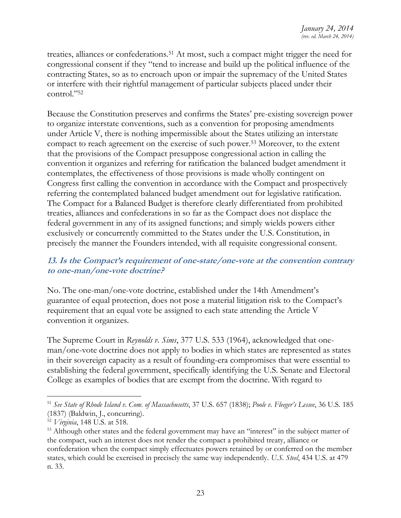treaties, alliances or confederations.<sup>51</sup> At most, such a compact might trigger the need for congressional consent if they "tend to increase and build up the political influence of the contracting States, so as to encroach upon or impair the supremacy of the United States or interfere with their rightful management of particular subjects placed under their control."<sup>52</sup>

Because the Constitution preserves and confirms the States' pre-existing sovereign power to organize interstate conventions, such as a convention for proposing amendments under Article V, there is nothing impermissible about the States utilizing an interstate compact to reach agreement on the exercise of such power.<sup>53</sup> Moreover, to the extent that the provisions of the Compact presuppose congressional action in calling the convention it organizes and referring for ratification the balanced budget amendment it contemplates, the effectiveness of those provisions is made wholly contingent on Congress first calling the convention in accordance with the Compact and prospectively referring the contemplated balanced budget amendment out for legislative ratification. The Compact for a Balanced Budget is therefore clearly differentiated from prohibited treaties, alliances and confederations in so far as the Compact does not displace the federal government in any of its assigned functions; and simply wields powers either exclusively or concurrently committed to the States under the U.S. Constitution, in precisely the manner the Founders intended, with all requisite congressional consent.

# <span id="page-23-0"></span>**13. Is the Compact's requirement of one-state/one-vote at the convention contrary to one-man/one-vote doctrine?**

No. The one-man/one-vote doctrine, established under the 14th Amendment's guarantee of equal protection, does not pose a material litigation risk to the Compact's requirement that an equal vote be assigned to each state attending the Article V convention it organizes.

The Supreme Court in *Reynolds v. Sims*, 377 U.S. 533 (1964), acknowledged that oneman/one-vote doctrine does not apply to bodies in which states are represented as states in their sovereign capacity as a result of founding-era compromises that were essential to establishing the federal government, specifically identifying the U.S. Senate and Electoral College as examples of bodies that are exempt from the doctrine. With regard to

<sup>51</sup> *See State of Rhode Island v. Com. of Massachusetts*, 37 U.S. 657 (1838); *Poole v. Fleeger's Lessee*, 36 U.S. 185 (1837) (Baldwin, J., concurring).

<sup>52</sup> *Virginia*, 148 U.S. at 518.

<sup>&</sup>lt;sup>53</sup> Although other states and the federal government may have an "interest" in the subject matter of the compact, such an interest does not render the compact a prohibited treaty, alliance or confederation when the compact simply effectuates powers retained by or conferred on the member states, which could be exercised in precisely the same way independently. *U.S. Steel*, 434 U.S. at 479 n. 33.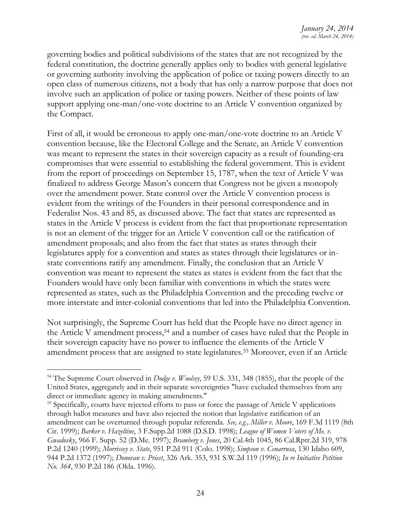governing bodies and political subdivisions of the states that are not recognized by the federal constitution, the doctrine generally applies only to bodies with general legislative or governing authority involving the application of police or taxing powers directly to an open class of numerous citizens, not a body that has only a narrow purpose that does not involve such an application of police or taxing powers. Neither of these points of law support applying one-man/one-vote doctrine to an Article V convention organized by the Compact.

First of all, it would be erroneous to apply one-man/one-vote doctrine to an Article V convention because, like the Electoral College and the Senate, an Article V convention was meant to represent the states in their sovereign capacity as a result of founding-era compromises that were essential to establishing the federal government. This is evident from the report of proceedings on September 15, 1787, when the text of Article V was finalized to address George Mason's concern that Congress not be given a monopoly over the amendment power. State control over the Article V convention process is evident from the writings of the Founders in their personal correspondence and in Federalist Nos. 43 and 85, as discussed above. The fact that states are represented as states in the Article V process is evident from the fact that proportionate representation is not an element of the trigger for an Article V convention call or the ratification of amendment proposals; and also from the fact that states as states through their legislatures apply for a convention and states as states through their legislatures or instate conventions ratify any amendment. Finally, the conclusion that an Article V convention was meant to represent the states as states is evident from the fact that the Founders would have only been familiar with conventions in which the states were represented as states, such as the Philadelphia Convention and the preceding twelve or more interstate and inter-colonial conventions that led into the Philadelphia Convention.

Not surprisingly, the Supreme Court has held that the People have no direct agency in the Article V amendment process,<sup>54</sup> and a number of cases have ruled that the People in their sovereign capacity have no power to influence the elements of the Article V amendment process that are assigned to state legislatures.<sup>55</sup> Moreover, even if an Article

<sup>54</sup> The Supreme Court observed in *Dodge v. Woolsey*, 59 U.S. 331, 348 (1855), that the people of the United States, aggregately and in their separate sovereignties "have excluded themselves from any direct or immediate agency in making amendments."

<sup>&</sup>lt;sup>55</sup> Specifically, courts have rejected efforts to pass or force the passage of Article V applications through ballot measures and have also rejected the notion that legislative ratification of an amendment can be overturned through popular referenda. *See, e.g., Miller v. Moore*, 169 F.3d 1119 (8th Cir. 1999); *Barker v. Hazeltine*, 3 F.Supp.2d 1088 (D.S.D. 1998); *League of Women Voters of Me. v. Gwadosky*, 966 F. Supp. 52 (D.Me. 1997); *Bramberg v. Jones*, 20 Cal.4th 1045, 86 Cal.Rptr.2d 319, 978 P.2d 1240 (1999); *Morrissey v. State*, 951 P.2d 911 (Colo. 1998); *Simpson v. Cenarrusa*, 130 Idaho 609, 944 P.2d 1372 (1997); *Donovan v. Priest*, 326 Ark. 353, 931 S.W.2d 119 (1996); *In re Initiative Petition No. 364*, 930 P.2d 186 (Okla. 1996).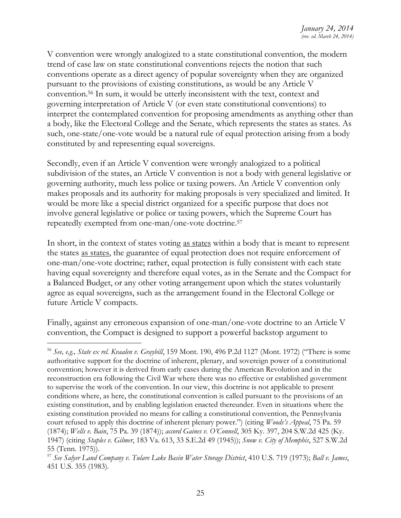V convention were wrongly analogized to a state constitutional convention, the modern trend of case law on state constitutional conventions rejects the notion that such conventions operate as a direct agency of popular sovereignty when they are organized pursuant to the provisions of existing constitutions, as would be any Article V convention.<sup>56</sup> In sum, it would be utterly inconsistent with the text, context and governing interpretation of Article V (or even state constitutional conventions) to interpret the contemplated convention for proposing amendments as anything other than a body, like the Electoral College and the Senate, which represents the states as states. As such, one-state/one-vote would be a natural rule of equal protection arising from a body constituted by and representing equal sovereigns.

Secondly, even if an Article V convention were wrongly analogized to a political subdivision of the states, an Article V convention is not a body with general legislative or governing authority, much less police or taxing powers. An Article V convention only makes proposals and its authority for making proposals is very specialized and limited. It would be more like a special district organized for a specific purpose that does not involve general legislative or police or taxing powers, which the Supreme Court has repeatedly exempted from one-man/one-vote doctrine.<sup>57</sup>

In short, in the context of states voting <u>as states</u> within a body that is meant to represent the states as states, the guarantee of equal protection does not require enforcement of one-man/one-vote doctrine; rather, equal protection is fully consistent with each state having equal sovereignty and therefore equal votes, as in the Senate and the Compact for a Balanced Budget, or any other voting arrangement upon which the states voluntarily agree as equal sovereigns, such as the arrangement found in the Electoral College or future Article V compacts.

Finally, against any erroneous expansion of one-man/one-vote doctrine to an Article V convention, the Compact is designed to support a powerful backstop argument to

<sup>56</sup> *See, e.g., State ex rel. Kvaalen v. Graybill*, 159 Mont. 190, 496 P.2d 1127 (Mont. 1972) ("There is some authoritative support for the doctrine of inherent, plenary, and sovereign power of a constitutional convention; however it is derived from early cases during the American Revolution and in the reconstruction era following the Civil War where there was no effective or established government to supervise the work of the convention. In our view, this doctrine is not applicable to present conditions where, as here, the constitutional convention is called pursuant to the provisions of an existing constitution, and by enabling legislation enacted thereunder. Even in situations where the existing constitution provided no means for calling a constitutional convention, the Pennsylvania court refused to apply this doctrine of inherent plenary power.") (citing *Woods's Appeal*, 75 Pa. 59 (1874); *Wells v. Bain*, 75 Pa. 39 (1874)); *accord Gaines v. O'Connell*, 305 Ky. 397, 204 S.W.2d 425 (Ky. 1947) (citing *Staples v. Gilmer*, 183 Va. 613, 33 S.E.2d 49 (1945)); *Snow v. City of Memphis*, 527 S.W.2d 55 (Tenn. 1975)).

<sup>57</sup> *See Salyer Land Company v. Tulare Lake Basin Water Storage District*, 410 U.S. 719 (1973); *Ball v. James*, 451 U.S. 355 (1983).